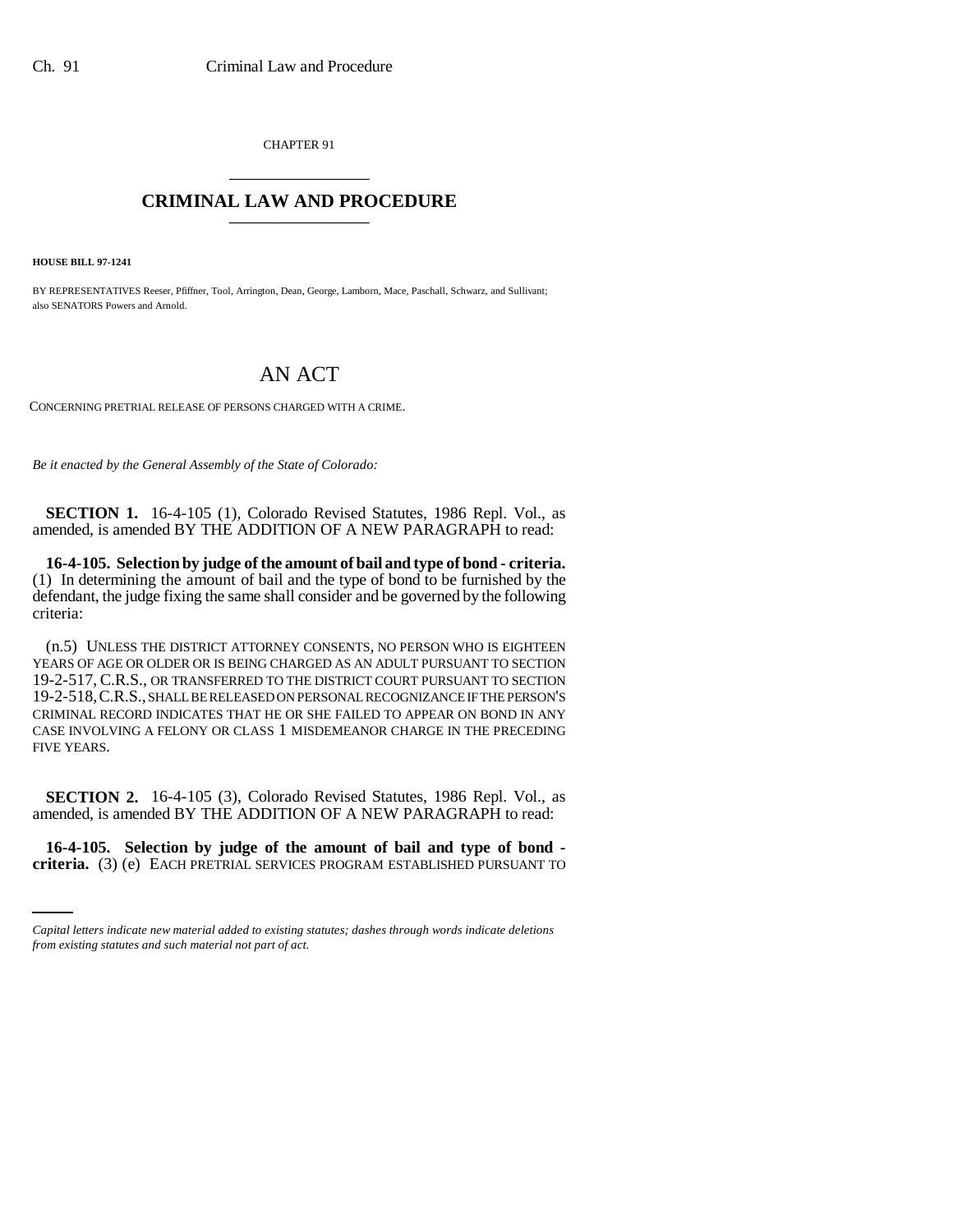CHAPTER 91 \_\_\_\_\_\_\_\_\_\_\_\_\_\_\_

## **CRIMINAL LAW AND PROCEDURE** \_\_\_\_\_\_\_\_\_\_\_\_\_\_\_

**HOUSE BILL 97-1241**

BY REPRESENTATIVES Reeser, Pfiffner, Tool, Arrington, Dean, George, Lamborn, Mace, Paschall, Schwarz, and Sullivant; also SENATORS Powers and Arnold.

## AN ACT

CONCERNING PRETRIAL RELEASE OF PERSONS CHARGED WITH A CRIME.

*Be it enacted by the General Assembly of the State of Colorado:*

**SECTION 1.** 16-4-105 (1), Colorado Revised Statutes, 1986 Repl. Vol., as amended, is amended BY THE ADDITION OF A NEW PARAGRAPH to read:

**16-4-105. Selection by judge of the amount of bail and type of bond - criteria.** (1) In determining the amount of bail and the type of bond to be furnished by the defendant, the judge fixing the same shall consider and be governed by the following criteria:

(n.5) UNLESS THE DISTRICT ATTORNEY CONSENTS, NO PERSON WHO IS EIGHTEEN YEARS OF AGE OR OLDER OR IS BEING CHARGED AS AN ADULT PURSUANT TO SECTION 19-2-517, C.R.S., OR TRANSFERRED TO THE DISTRICT COURT PURSUANT TO SECTION 19-2-518,C.R.S., SHALL BE RELEASED ON PERSONAL RECOGNIZANCE IF THE PERSON'S CRIMINAL RECORD INDICATES THAT HE OR SHE FAILED TO APPEAR ON BOND IN ANY CASE INVOLVING A FELONY OR CLASS 1 MISDEMEANOR CHARGE IN THE PRECEDING FIVE YEARS.

**SECTION 2.** 16-4-105 (3), Colorado Revised Statutes, 1986 Repl. Vol., as amended, is amended BY THE ADDITION OF A NEW PARAGRAPH to read:

i<br>Santa Cara **16-4-105. Selection by judge of the amount of bail and type of bond criteria.** (3) (e) EACH PRETRIAL SERVICES PROGRAM ESTABLISHED PURSUANT TO

*Capital letters indicate new material added to existing statutes; dashes through words indicate deletions from existing statutes and such material not part of act.*